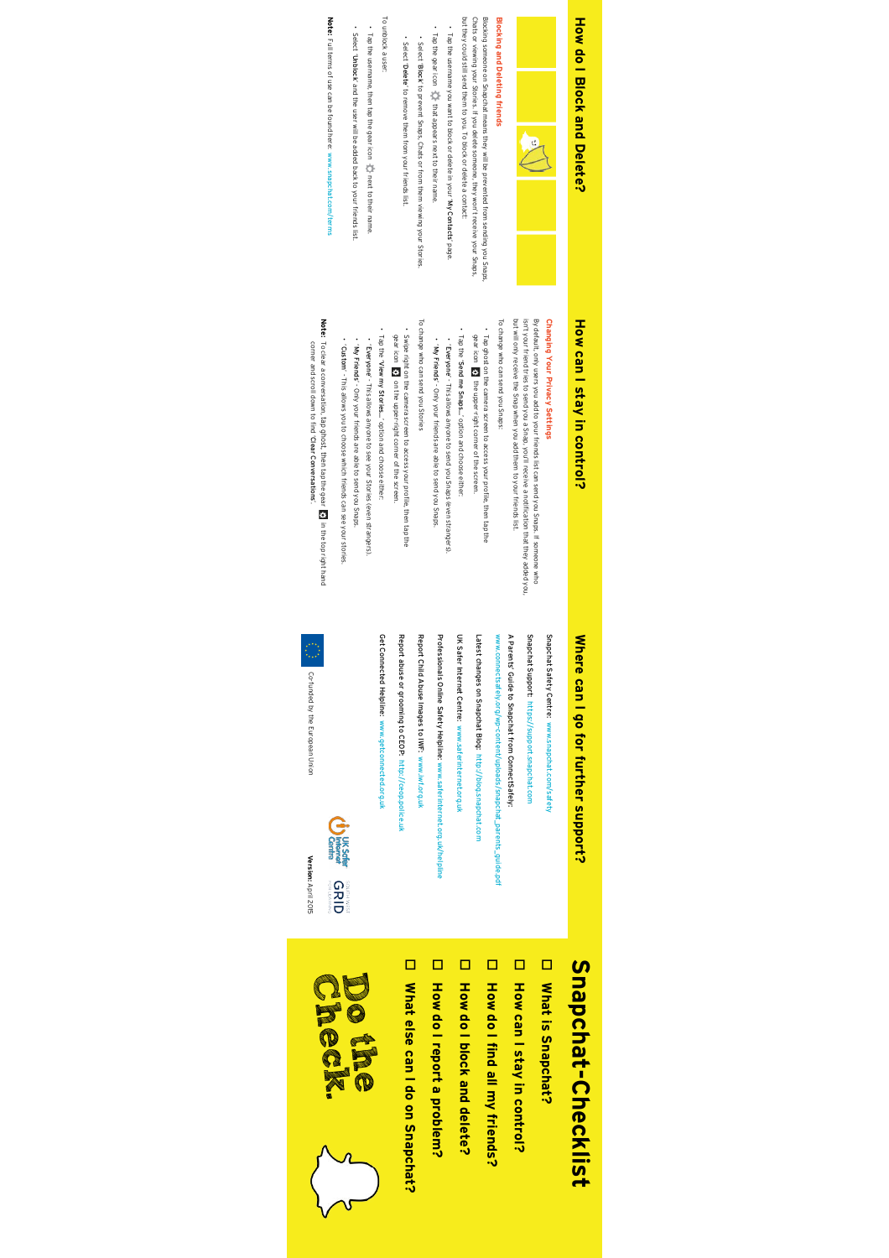## **How do I Block and Delete3** How do I Block and Delete?



#### **Blocking and Deleting friends Blocking and Deleting friends**

but they could still send them to you. To block or delete a contact: Blocking someone on Snapchat means they will be prevented from sending you Snaps.<br>Chats or viewing your Stories. If you delete someone, they won't receive your Snaps, but they could still send them to you. To block or delete a contact: Chats or viewing your Stories. If you delete someone, they won't receive your Snaps, Blocking someone on Snapchat means they will be prevented from sending you Snaps,

Tap the username you want to block or delete in your 'My Contacts' page.

Tap the gear icon that appears next to their name.

• Tap the gear icon  $\sum_{i=1}^{\infty}$  that appears next to their name. • Select 'Block' to prevent Snaps, Chats or from them viewing your Stories.

• Select 'Delete' to remove them from your friends list.

To unblock a user: To unblock a user:

• Tap the username, then tap the gear icon  $\sum$  next to their name. Tap the username, then tap the gear icon next to their name. • Select 'Unblock' and the user will be added back to your friends list.

Note: Full terms of use can be found here: www.snapchat.com/terms Full terms of use can be found here: www.snapchat.com/terms

### How can I stay in control? **How can I stay in control?**

#### Changing Your Privacy Settings **Changing Your Privacy Settings**

isn't your friend tries to send you a Snap, you'll receive a notification that they added you, By default, only users you add to your friends list can send you Snaps. If someone who isn't your friend tries to send you a Snap, you'll receive a notification that they added you, By default, only users you add to your friends list can send you Snaps. If someone who

To change who can send you Snaps: but will only receive the Snap when you add them to your friends list. To change who can send you Snaps: but will only receive the Snap when you add them to your friends list.

• Tap ghost on the camera screen to access your profile, then tap the Tap ghost on the camera screen to access your profile, then tap the

• Tap the 'gear icon **E.** the upper-right corner of the screen. gear icon the upper-right corner of the screen. Send me Snaps...' option and choose either:

• 'Everyone' - This allows anyone to send you Snaps (even strangers). • 'My Friends' - Only your friends are able to send you Snaps.

To change who can send you Stories To change who can send you Stories

• Swipe right on the camera screen to access your profile, then tap the • Tap the 'gear icon 53 on the upper-right corner of the screen. gear icon on the upper-right corner of the screen. Swipe right on the camera screen to access your profile, then tap the View my Stories...' option and choose either:

• 'Everyone' - This allows anyone to see your Stories (even strangers). • 'My Friends' - Only your friends are able to send you Snaps.

• 'Custom' - This allows you to choose which friends can see your stories.

**Note:** To clear a conversation, tap ghost, then tap the gear in the top right hand corner and scroll down to find 'Clear Conversations

# Where can I go for further support?

Snapchat Safety Centre: www.snapchat.com/safety Snapchat Safety Centre: www.snapchat.com/safety

Snapchat Support: https://support.snapchat.com Snapchat Support: https://support.snapchat.com

A Parents' Guide to Snapchat from ConnectSafely: www.connectsafely.org/wp-content/uploads/snapchat\_parents\_guide.pdf www.connectsafely.org/wp-content/uploads/snapchat\_parents\_guide.pdf A Parents' Guide to Snapchat from ConnectSafely:

Latest changes on Snapchat Blog: http://blog.snapchat.com Latest changes on Snapchat Blog: http://blog.snapchat.com

UK Safer Internet Centre: www.saferinternet.org.uk UK Safer Internet Centre: www.saferinternet.org.uk

Professionals Online Safety Helpline: www.saferinternet.org.uk/helpline Professionals Online Safety Helpline: www.saferinternet.org.uk/helpline

Report Child Abuse Images to IWF: www.iwf.org.uk Report Child Abuse Images to IWF: www.iwf.org.uk

Report abuse or grooming to CEOP: http://ceop.police.uk Report abuse or grooming to CEOP: http://ceop.police.uk

Get Connected Helpline: www.getconnected.org.uk Get Connected Helpline: www.getconnected.org.uk



**Version:**April 2015

Co-funded by the European Union

Co-funded by the European Union

# Where can I go for further support?<br>
Snapc<br/> **Snapchat-Checklist** Snapchat-Checklist

□ What is Snapchat? **What is Snapchat?**

D How can I stay in control? **How can I stay in control?**

D How do I find all my friends? **How do I find all my friends?**

o **How do I block and delete? How do I block and delete?**

o How do I report a problem? **How do I report a problem?**

U What else can I do on Snapchat? **What else can I do on Snapchat?**